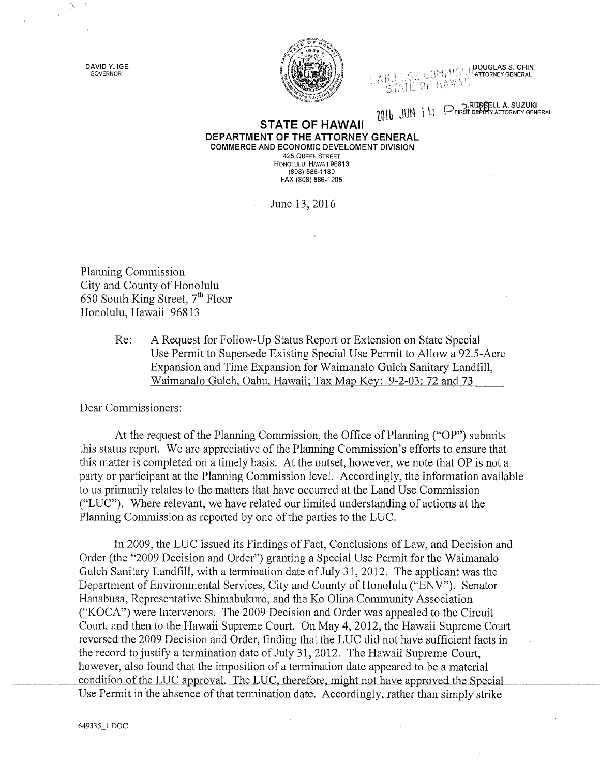DAVID Y. IGE GOVERNOR

 $\mathcal{F}_{\mathcal{M}}^{\mathcal{A}}$ 



LAND USE CUMMISSION CHORNEY GENERAL STATE OF HAWAII

2016 JUN 14 PFIRST DEPUTY ATTORNEY GENERAL

## **STATE OF HAWAII** DEPARTMENT OF THE ATTORNEY GENERAL COMMERCE AND ECONOMIC DEVELOMENT DIVISION **425 QUEEN STREET**

HONOLULU, HAWAII 96813  $(808)\, 586 - 1180$ FAX (808) 586-1205

June 13, 2016

Planning Commission City and County of Honolulu 650 South King Street, 7<sup>th</sup> Floor Honolulu, Hawaii 96813

> Re: A Request for Follow-Up Status Report or Extension on State Special Use Permit to Supersede Existing Special Use Permit to Allow a 92.5-Acre Expansion and Time Expansion for Waimanalo Gulch Sanitary Landfill, Waimanalo Gulch, Oahu, Hawaii; Tax Map Key: 9-2-03: 72 and 73

Dear Commissioners:

At the request of the Planning Commission, the Office of Planning ("OP") submits this status report. We are appreciative of the Planning Commission's efforts to ensure that this matter is completed on a timely basis. At the outset, however, we note that OP is not a party or participant at the Planning Commission level. Accordingly, the information available to us primarily relates to the matters that have occurred at the Land Use Commission ("LUC"). Where relevant, we have related our limited understanding of actions at the Planning Commission as reported by one of the parties to the LUC.

In 2009, the LUC issued its Findings of Fact, Conclusions of Law, and Decision and Order (the "2009 Decision and Order") granting a Special Use Permit for the Waimanalo Gulch Sanitary Landfill, with a termination date of July 31, 2012. The applicant was the Department of Environmental Services, City and County of Honolulu ("ENV"). Senator Hanabusa, Representative Shimabukuro, and the Ko Olina Community Association ("KOCA") were Intervenors. The 2009 Decision and Order was appealed to the Circuit Court, and then to the Hawaii Supreme Court. On May 4, 2012, the Hawaii Supreme Court reversed the 2009 Decision and Order, finding that the LUC did not have sufficient facts in the record to justify a termination date of July 31, 2012. The Hawaii Supreme Court, however, also found that the imposition of a termination date appeared to be a material condition of the LUC approval. The LUC, therefore, might not have approved the Special Use Permit in the absence of that termination date. Accordingly, rather than simply strike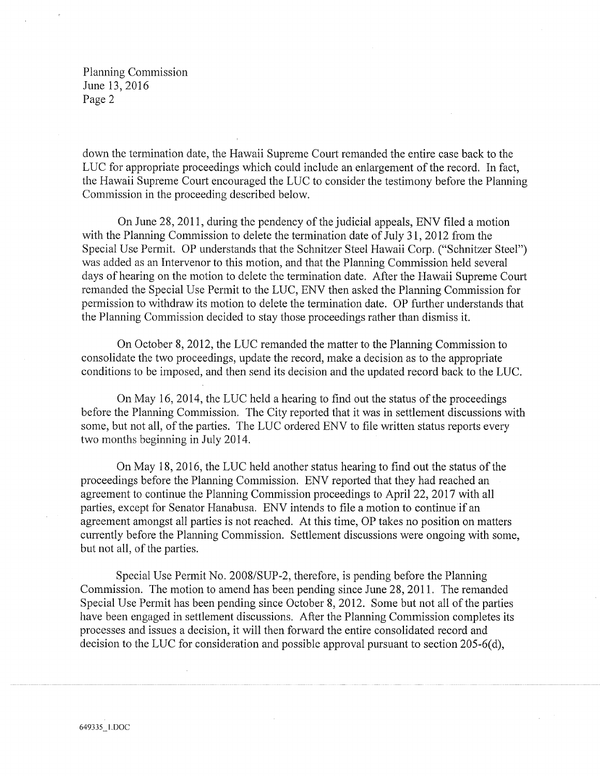Planning Commission June 13, 2016 Page 2

down the termination date, the Hawaii Supreme Court remanded the entire case back to the LUC for appropriate proceedings which could include an enlargement of the record. In fact, the Hawaii Supreme Court encouraged the LUC to consider the testimony before the Planning Commission in the proceeding described below.

On June 28,2011, during the pendency of the judicial appeals, ENV filed a motion with the Planning Commission to delete the termination date of July 31, 2012 from the Special Use Permit. OP understands that the Schnitzer Steel Hawaii Corp. ("Schnitzer Steel") was added as an Intervenor to this motion, and that the Planning Commission held several days of hearing on the motion to delete the termination date. After the Hawaii Supreme Court remanded the Special Use Permit to the LUC, ENV then asked the Planning Commission for permission to withdraw its motion to delete the termination date. OP further understands that the Planning Commission decided to stay those proceedings rather than dismiss it.

On October 8, 2012, the LUC remanded the matter to the Planning Commission to consolidate the two proceedings, update the record, make a decision as to the appropriate conditions to be imposed, and then send its decision and the updated record back to the LUC.

On May 16, 2014, the LUC held a hearing to find out the status of the proceedings before the Planning Commission. The City reported that it was in settlement discussions with some, but not all, of the parties. The LUC ordered ENV to file written status reports every two months beginning in July 2014.

On May 18, 2016, the LUC held another status hearing to find out the status of the proceedings before the Planning Commission. ENV reported that they had reached an agreement to continue the Planning Commission proceedings to April 22, 2017 with all parties, except for Senator Hanabusa. ENV intends to file a motion to continue if an agreement amongst all parties is not reached. At this time, OP takes no position on matters currently before the Planning Commission. Settlement discussions were ongoing with some, but not all, of the parties.

Special Use Permit No. 2008/SUP-2, therefore, is pending before the Planning Commission. The motion to amend has been pending since June 28, 2011. The remanded Special Use Permit has been pending since October 8, 2012. Some but not all of the parties have been engaged in settlement discussions. After the Planning Commission completes its processes and issues a decision, it will then forward the entire consolidated record and decision to the LUC for consideration and possible approval pursuant to section 205-6(d),